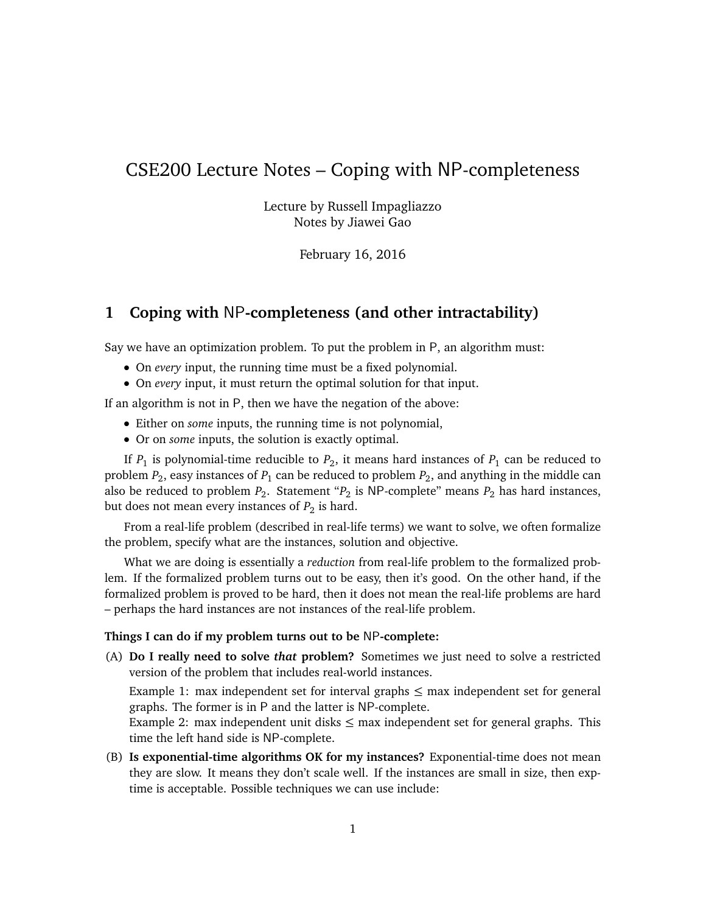# CSE200 Lecture Notes – Coping with NP-completeness

Lecture by Russell Impagliazzo Notes by Jiawei Gao

February 16, 2016

## **1 Coping with** NP**-completeness (and other intractability)**

Say we have an optimization problem. To put the problem in P, an algorithm must:

- On *every* input, the running time must be a fixed polynomial.
- On *every* input, it must return the optimal solution for that input.

If an algorithm is not in P, then we have the negation of the above:

- Either on *some* inputs, the running time is not polynomial,
- Or on *some* inputs, the solution is exactly optimal.

If  $P_1$  is polynomial-time reducible to  $P_2$ , it means hard instances of  $P_1$  can be reduced to problem  $P_2$ , easy instances of  $P_1$  can be reduced to problem  $P_2$ , and anything in the middle can also be reduced to problem  $P_2$ . Statement " $P_2$  is NP-complete" means  $P_2$  has hard instances, but does not mean every instances of  $P_2$  is hard.

From a real-life problem (described in real-life terms) we want to solve, we often formalize the problem, specify what are the instances, solution and objective.

What we are doing is essentially a *reduction* from real-life problem to the formalized problem. If the formalized problem turns out to be easy, then it's good. On the other hand, if the formalized problem is proved to be hard, then it does not mean the real-life problems are hard – perhaps the hard instances are not instances of the real-life problem.

#### **Things I can do if my problem turns out to be** NP**-complete:**

(A) **Do I really need to solve** *that* **problem?** Sometimes we just need to solve a restricted version of the problem that includes real-world instances.

Example 1: max independent set for interval graphs  $\leq$  max independent set for general graphs. The former is in P and the latter is NP-complete.

Example 2: max independent unit disks  $\leq$  max independent set for general graphs. This time the left hand side is NP-complete.

(B) **Is exponential-time algorithms OK for my instances?** Exponential-time does not mean they are slow. It means they don't scale well. If the instances are small in size, then exptime is acceptable. Possible techniques we can use include: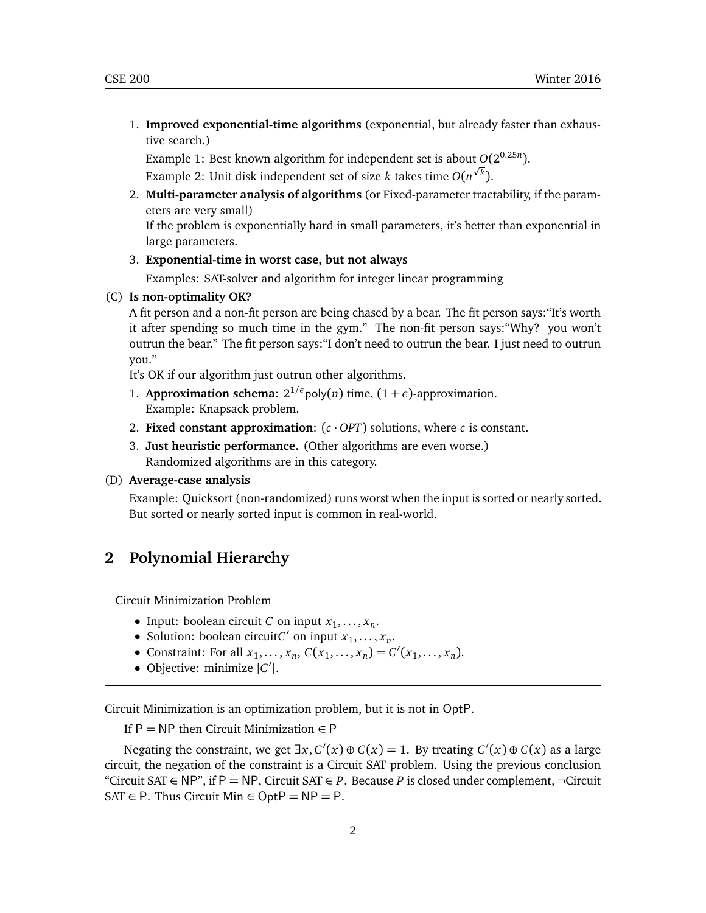1. **Improved exponential-time algorithms** (exponential, but already faster than exhaustive search.)

Example 1: Best known algorithm for independent set is about  $O(2^{0.25n})$ . Example 2: Unit disk independent set of size *k* takes time  $O(n^{\sqrt{k}})$ .

2. **Multi-parameter analysis of algorithms** (or Fixed-parameter tractability, if the parameters are very small)

If the problem is exponentially hard in small parameters, it's better than exponential in large parameters.

3. **Exponential-time in worst case, but not always**

Examples: SAT-solver and algorithm for integer linear programming

#### (C) **Is non-optimality OK?**

A fit person and a non-fit person are being chased by a bear. The fit person says:"It's worth it after spending so much time in the gym." The non-fit person says:"Why? you won't outrun the bear." The fit person says:"I don't need to outrun the bear. I just need to outrun you."

It's OK if our algorithm just outrun other algorithms.

- 1. **Approximation schema**:  $2^{1/\epsilon}$  poly(*n*) time,  $(1 + \epsilon)$ -approximation. Example: Knapsack problem.
- 2. **Fixed constant approximation**:  $(c \cdot OPT)$  solutions, where *c* is constant.
- 3. **Just heuristic performance.** (Other algorithms are even worse.) Randomized algorithms are in this category.

#### (D) **Average-case analysis**

Example: Quicksort (non-randomized) runs worst when the input is sorted or nearly sorted. But sorted or nearly sorted input is common in real-world.

### **2 Polynomial Hierarchy**

Circuit Minimization Problem

- Input: boolean circuit *C* on input  $x_1, \ldots, x_n$ .
- Solution: boolean circuit*C'* on input  $x_1, \ldots, x_n$ .
- Constraint: For all  $x_1, ..., x_n$ ,  $C(x_1, ..., x_n) = C'(x_1, ..., x_n)$ .
- Objective: minimize |*C* 0 |.

Circuit Minimization is an optimization problem, but it is not in OptP.

If P = NP then Circuit Minimization  $\in$  P

Negating the constraint, we get  $\exists x, C'(x) \oplus C(x) = 1$ . By treating  $C'(x) \oplus C(x)$  as a large circuit, the negation of the constraint is a Circuit SAT problem. Using the previous conclusion "Circuit SAT  $\in$  NP", if P = NP, Circuit SAT  $\in$  *P*. Because *P* is closed under complement,  $\neg$ Circuit SAT  $\in$  P. Thus Circuit Min  $\in$  OptP = NP = P.